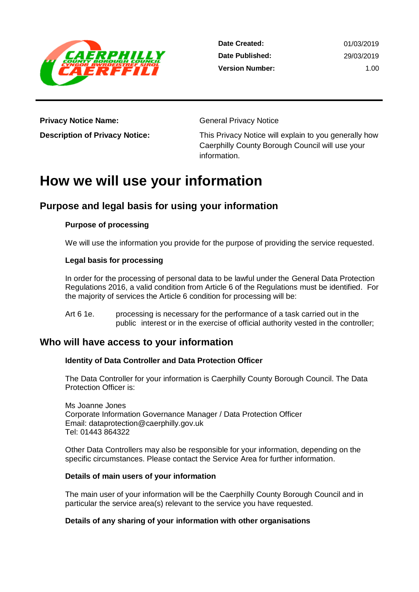

**Date Created: Date Published: Version Number:** 01/03/2019 29/03/2019 1.00

**Privacy Notice Name:** General Privacy Notice

**Description of Privacy Notice:** This Privacy Notice will explain to you generally how Caerphilly County Borough Council will use your information.

# **How we will use your information**

# **Purpose and legal basis for using your information**

# **Purpose of processing**

We will use the information you provide for the purpose of providing the service requested.

### **Legal basis for processing**

In order for the processing of personal data to be lawful under the General Data Protection Regulations 2016, a valid condition from Article 6 of the Regulations must be identified. For the majority of services the Article 6 condition for processing will be:

Art 6 1e. processing is necessary for the performance of a task carried out in the public interest or in the exercise of official authority vested in the controller;

# **Who will have access to your information**

# **Identity of Data Controller and Data Protection Officer**

The Data Controller for your information is Caerphilly County Borough Council. The Data Protection Officer is:

Ms Joanne Jones Corporate Information Governance Manager / Data Protection Officer Email: dataprotection@caerphilly.gov.uk Tel: 01443 864322

Other Data Controllers may also be responsible for your information, depending on the specific circumstances. Please contact the Service Area for further information.

#### **Details of main users of your information**

The main user of your information will be the Caerphilly County Borough Council and in particular the service area(s) relevant to the service you have requested.

# **Details of any sharing of your information with other organisations**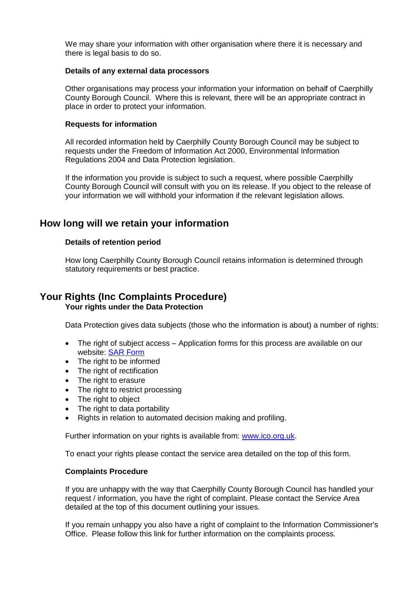We may share your information with other organisation where there it is necessary and there is legal basis to do so.

#### **Details of any external data processors**

Other organisations may process your information your information on behalf of Caerphilly County Borough Council. Where this is relevant, there will be an appropriate contract in place in order to protect your information.

#### **Requests for information**

All recorded information held by Caerphilly County Borough Council may be subject to requests under the Freedom of Information Act 2000, Environmental Information Regulations 2004 and Data Protection legislation.

If the information you provide is subject to such a request, where possible Caerphilly County Borough Council will consult with you on its release. If you object to the release of your information we will withhold your information if the relevant legislation allows.

# **How long will we retain your information**

#### **Details of retention period**

How long Caerphilly County Borough Council retains information is determined through statutory requirements or best practice.

# **Your Rights (Inc Complaints Procedure) Your rights under the Data Protection**

Data Protection gives data subjects (those who the information is about) a number of rights:

- The right of subject access Application forms for this process are available on our website: [SAR Form](http://www.caerphilly.gov.uk/CaerphillyDocs/Council-and-democracy/sar_form.aspx)
- The right to be informed
- The right of rectification
- The right to erasure
- The right to restrict processing
- The right to object
- The right to data portability
- Rights in relation to automated decision making and profiling.

Further information on your rights is available from: [www.ico.org.uk.](http://www.ico.org.uk/)

To enact your rights please contact the service area detailed on the top of this form.

#### **Complaints Procedure**

If you are unhappy with the way that Caerphilly County Borough Council has handled your request / information, you have the right of complaint. Please contact the Service Area detailed at the top of this document outlining your issues.

If you remain unhappy you also have a right of complaint to the Information Commissioner's Office. Please follow this link for further information on the complaints process.